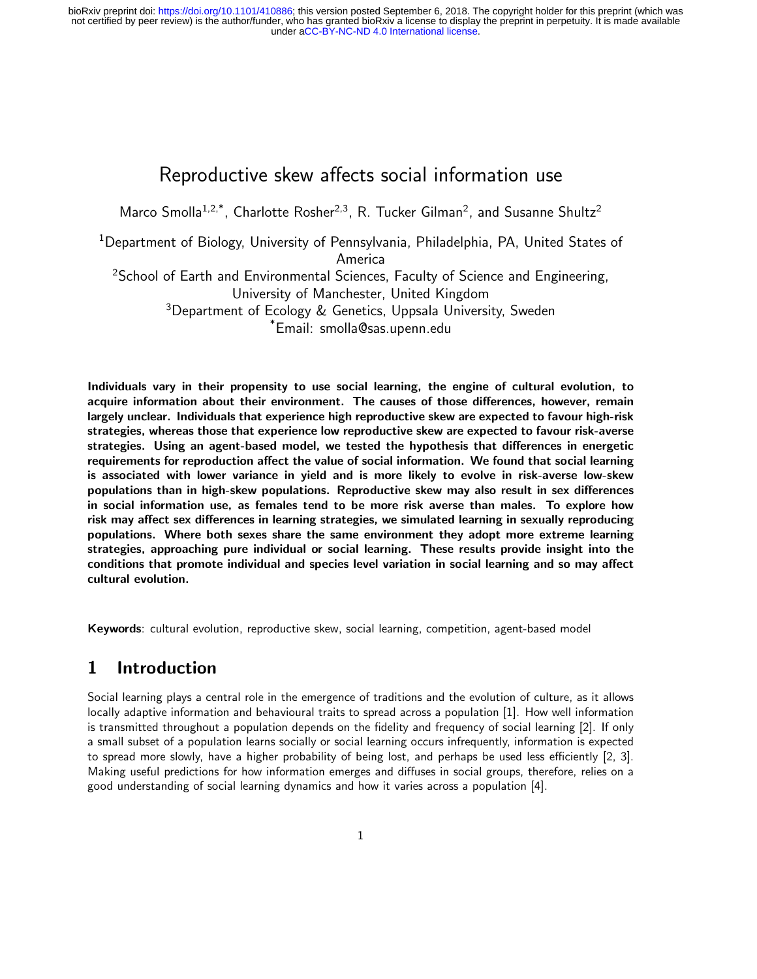## Reproductive skew affects social information use

Marco Smolla<sup>1,2,\*</sup>, Charlotte Rosher<sup>2,3</sup>, R. Tucker Gilman<sup>2</sup>, and Susanne Shultz<sup>2</sup>

<sup>1</sup>Department of Biology, University of Pennsylvania, Philadelphia, PA, United States of America <sup>2</sup>School of Earth and Environmental Sciences, Faculty of Science and Engineering, University of Manchester, United Kingdom <sup>3</sup>Department of Ecology & Genetics, Uppsala University, Sweden

\*Email: smolla@sas.upenn.edu

Individuals vary in their propensity to use social learning, the engine of cultural evolution, to acquire information about their environment. The causes of those differences, however, remain largely unclear. Individuals that experience high reproductive skew are expected to favour high-risk strategies, whereas those that experience low reproductive skew are expected to favour risk-averse strategies. Using an agent-based model, we tested the hypothesis that differences in energetic requirements for reproduction affect the value of social information. We found that social learning is associated with lower variance in yield and is more likely to evolve in risk-averse low-skew populations than in high-skew populations. Reproductive skew may also result in sex differences in social information use, as females tend to be more risk averse than males. To explore how risk may affect sex differences in learning strategies, we simulated learning in sexually reproducing populations. Where both sexes share the same environment they adopt more extreme learning strategies, approaching pure individual or social learning. These results provide insight into the conditions that promote individual and species level variation in social learning and so may affect cultural evolution.

Keywords: cultural evolution, reproductive skew, social learning, competition, agent-based model

## 1 Introduction

Social learning plays a central role in the emergence of traditions and the evolution of culture, as it allows locally adaptive information and behavioural traits to spread across a population [1]. How well information is transmitted throughout a population depends on the fidelity and frequency of social learning [2]. If only a small subset of a population learns socially or social learning occurs infrequently, information is expected to spread more slowly, have a higher probability of being lost, and perhaps be used less efficiently [2, 3]. Making useful predictions for how information emerges and diffuses in social groups, therefore, relies on a good understanding of social learning dynamics and how it varies across a population [4].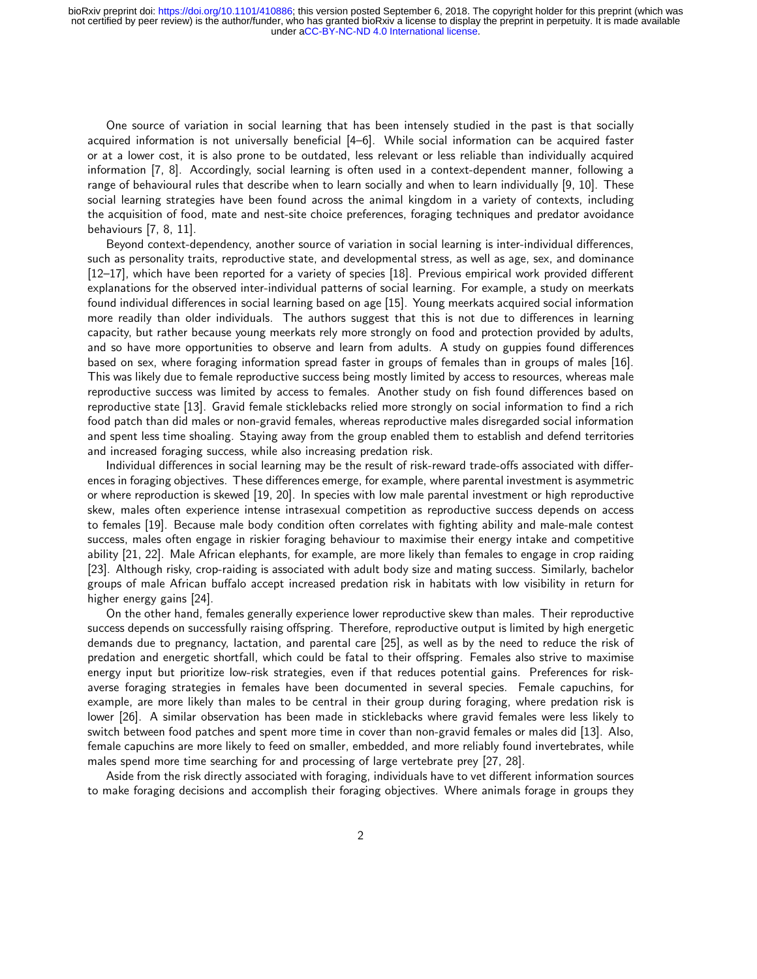One source of variation in social learning that has been intensely studied in the past is that socially acquired information is not universally beneficial [4–6]. While social information can be acquired faster or at a lower cost, it is also prone to be outdated, less relevant or less reliable than individually acquired information [7, 8]. Accordingly, social learning is often used in a context-dependent manner, following a range of behavioural rules that describe when to learn socially and when to learn individually [9, 10]. These social learning strategies have been found across the animal kingdom in a variety of contexts, including the acquisition of food, mate and nest-site choice preferences, foraging techniques and predator avoidance behaviours [7, 8, 11].

Beyond context-dependency, another source of variation in social learning is inter-individual differences, such as personality traits, reproductive state, and developmental stress, as well as age, sex, and dominance [12–17], which have been reported for a variety of species [18]. Previous empirical work provided different explanations for the observed inter-individual patterns of social learning. For example, a study on meerkats found individual differences in social learning based on age [15]. Young meerkats acquired social information more readily than older individuals. The authors suggest that this is not due to differences in learning capacity, but rather because young meerkats rely more strongly on food and protection provided by adults, and so have more opportunities to observe and learn from adults. A study on guppies found differences based on sex, where foraging information spread faster in groups of females than in groups of males [16]. This was likely due to female reproductive success being mostly limited by access to resources, whereas male reproductive success was limited by access to females. Another study on fish found differences based on reproductive state [13]. Gravid female sticklebacks relied more strongly on social information to find a rich food patch than did males or non-gravid females, whereas reproductive males disregarded social information and spent less time shoaling. Staying away from the group enabled them to establish and defend territories and increased foraging success, while also increasing predation risk.

Individual differences in social learning may be the result of risk-reward trade-offs associated with differences in foraging objectives. These differences emerge, for example, where parental investment is asymmetric or where reproduction is skewed [19, 20]. In species with low male parental investment or high reproductive skew, males often experience intense intrasexual competition as reproductive success depends on access to females [19]. Because male body condition often correlates with fighting ability and male-male contest success, males often engage in riskier foraging behaviour to maximise their energy intake and competitive ability [21, 22]. Male African elephants, for example, are more likely than females to engage in crop raiding [23]. Although risky, crop-raiding is associated with adult body size and mating success. Similarly, bachelor groups of male African buffalo accept increased predation risk in habitats with low visibility in return for higher energy gains [24].

On the other hand, females generally experience lower reproductive skew than males. Their reproductive success depends on successfully raising offspring. Therefore, reproductive output is limited by high energetic demands due to pregnancy, lactation, and parental care [25], as well as by the need to reduce the risk of predation and energetic shortfall, which could be fatal to their offspring. Females also strive to maximise energy input but prioritize low-risk strategies, even if that reduces potential gains. Preferences for riskaverse foraging strategies in females have been documented in several species. Female capuchins, for example, are more likely than males to be central in their group during foraging, where predation risk is lower [26]. A similar observation has been made in sticklebacks where gravid females were less likely to switch between food patches and spent more time in cover than non-gravid females or males did [13]. Also, female capuchins are more likely to feed on smaller, embedded, and more reliably found invertebrates, while males spend more time searching for and processing of large vertebrate prey [27, 28].

Aside from the risk directly associated with foraging, individuals have to vet different information sources to make foraging decisions and accomplish their foraging objectives. Where animals forage in groups they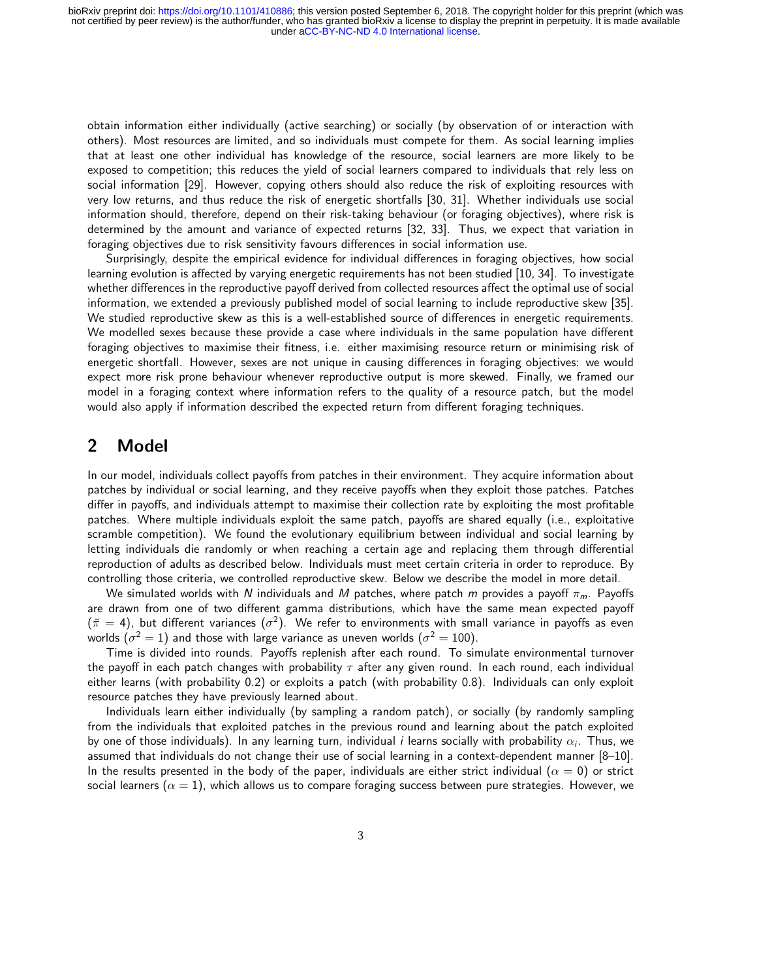obtain information either individually (active searching) or socially (by observation of or interaction with others). Most resources are limited, and so individuals must compete for them. As social learning implies that at least one other individual has knowledge of the resource, social learners are more likely to be exposed to competition; this reduces the yield of social learners compared to individuals that rely less on social information [29]. However, copying others should also reduce the risk of exploiting resources with very low returns, and thus reduce the risk of energetic shortfalls [30, 31]. Whether individuals use social information should, therefore, depend on their risk-taking behaviour (or foraging objectives), where risk is determined by the amount and variance of expected returns [32, 33]. Thus, we expect that variation in foraging objectives due to risk sensitivity favours differences in social information use.

Surprisingly, despite the empirical evidence for individual differences in foraging objectives, how social learning evolution is affected by varying energetic requirements has not been studied [10, 34]. To investigate whether differences in the reproductive payoff derived from collected resources affect the optimal use of social information, we extended a previously published model of social learning to include reproductive skew [35]. We studied reproductive skew as this is a well-established source of differences in energetic requirements. We modelled sexes because these provide a case where individuals in the same population have different foraging objectives to maximise their fitness, i.e. either maximising resource return or minimising risk of energetic shortfall. However, sexes are not unique in causing differences in foraging objectives: we would expect more risk prone behaviour whenever reproductive output is more skewed. Finally, we framed our model in a foraging context where information refers to the quality of a resource patch, but the model would also apply if information described the expected return from different foraging techniques.

### 2 Model

In our model, individuals collect payoffs from patches in their environment. They acquire information about patches by individual or social learning, and they receive payoffs when they exploit those patches. Patches differ in payoffs, and individuals attempt to maximise their collection rate by exploiting the most profitable patches. Where multiple individuals exploit the same patch, payoffs are shared equally (i.e., exploitative scramble competition). We found the evolutionary equilibrium between individual and social learning by letting individuals die randomly or when reaching a certain age and replacing them through differential reproduction of adults as described below. Individuals must meet certain criteria in order to reproduce. By controlling those criteria, we controlled reproductive skew. Below we describe the model in more detail.

We simulated worlds with N individuals and M patches, where patch m provides a payoff  $\pi_m$ . Payoffs are drawn from one of two different gamma distributions, which have the same mean expected payoff  $(\bar{\pi}=4)$ , but different variances  $(\sigma^2)$ . We refer to environments with small variance in payoffs as even worlds  $(\sigma^2=1)$  and those with large variance as uneven worlds  $(\sigma^2=100)$ .

Time is divided into rounds. Payoffs replenish after each round. To simulate environmental turnover the payoff in each patch changes with probability  $\tau$  after any given round. In each round, each individual either learns (with probability 0.2) or exploits a patch (with probability 0.8). Individuals can only exploit resource patches they have previously learned about.

Individuals learn either individually (by sampling a random patch), or socially (by randomly sampling from the individuals that exploited patches in the previous round and learning about the patch exploited by one of those individuals). In any learning turn, individual i learns socially with probability  $\alpha_i$ . Thus, we assumed that individuals do not change their use of social learning in a context-dependent manner [8–10]. In the results presented in the body of the paper, individuals are either strict individual ( $\alpha = 0$ ) or strict social learners ( $\alpha = 1$ ), which allows us to compare foraging success between pure strategies. However, we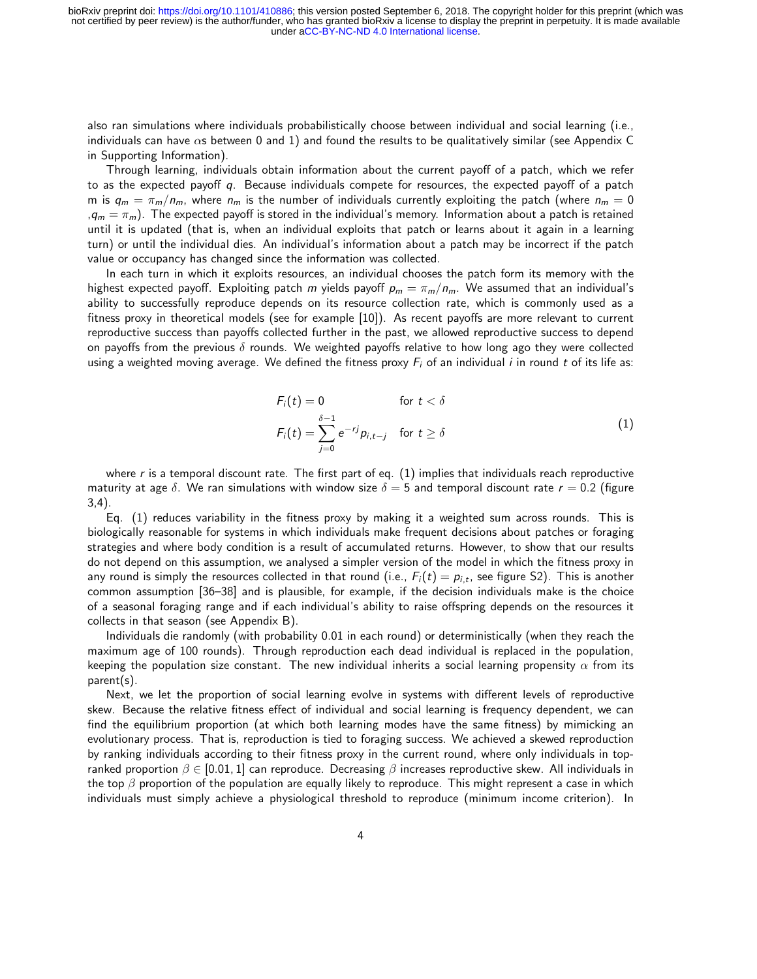also ran simulations where individuals probabilistically choose between individual and social learning (i.e., individuals can have  $\alpha$ s between 0 and 1) and found the results to be qualitatively similar (see Appendix C in Supporting Information).

Through learning, individuals obtain information about the current payoff of a patch, which we refer to as the expected payoff  $q$ . Because individuals compete for resources, the expected payoff of a patch m is  $q_m = \pi_m/n_m$ , where  $n_m$  is the number of individuals currently exploiting the patch (where  $n_m = 0$ ,  $q_m = \pi_m$ ). The expected payoff is stored in the individual's memory. Information about a patch is retained until it is updated (that is, when an individual exploits that patch or learns about it again in a learning turn) or until the individual dies. An individual's information about a patch may be incorrect if the patch value or occupancy has changed since the information was collected.

In each turn in which it exploits resources, an individual chooses the patch form its memory with the highest expected payoff. Exploiting patch m yields payoff  $p_m = \pi_m/n_m$ . We assumed that an individual's ability to successfully reproduce depends on its resource collection rate, which is commonly used as a fitness proxy in theoretical models (see for example [10]). As recent payoffs are more relevant to current reproductive success than payoffs collected further in the past, we allowed reproductive success to depend on payoffs from the previous  $\delta$  rounds. We weighted payoffs relative to how long ago they were collected using a weighted moving average. We defined the fitness proxy  $F_i$  of an individual i in round t of its life as:

$$
F_i(t) = 0 \qquad \text{for } t < \delta
$$
  

$$
F_i(t) = \sum_{j=0}^{\delta-1} e^{-rj} p_{i,t-j} \quad \text{for } t \ge \delta
$$
 (1)

where  $r$  is a temporal discount rate. The first part of eq.  $(1)$  implies that individuals reach reproductive maturity at age  $\delta$ . We ran simulations with window size  $\delta = 5$  and temporal discount rate  $r = 0.2$  (figure 3,4).

Eq. (1) reduces variability in the fitness proxy by making it a weighted sum across rounds. This is biologically reasonable for systems in which individuals make frequent decisions about patches or foraging strategies and where body condition is a result of accumulated returns. However, to show that our results do not depend on this assumption, we analysed a simpler version of the model in which the fitness proxy in any round is simply the resources collected in that round (i.e.,  $F_i(t) = p_{i,t}$ , see figure S2). This is another common assumption [36–38] and is plausible, for example, if the decision individuals make is the choice of a seasonal foraging range and if each individual's ability to raise offspring depends on the resources it collects in that season (see Appendix B).

Individuals die randomly (with probability 0.01 in each round) or deterministically (when they reach the maximum age of 100 rounds). Through reproduction each dead individual is replaced in the population, keeping the population size constant. The new individual inherits a social learning propensity  $\alpha$  from its parent(s).

Next, we let the proportion of social learning evolve in systems with different levels of reproductive skew. Because the relative fitness effect of individual and social learning is frequency dependent, we can find the equilibrium proportion (at which both learning modes have the same fitness) by mimicking an evolutionary process. That is, reproduction is tied to foraging success. We achieved a skewed reproduction by ranking individuals according to their fitness proxy in the current round, where only individuals in topranked proportion  $\beta \in [0.01, 1]$  can reproduce. Decreasing  $\beta$  increases reproductive skew. All individuals in the top  $\beta$  proportion of the population are equally likely to reproduce. This might represent a case in which individuals must simply achieve a physiological threshold to reproduce (minimum income criterion). In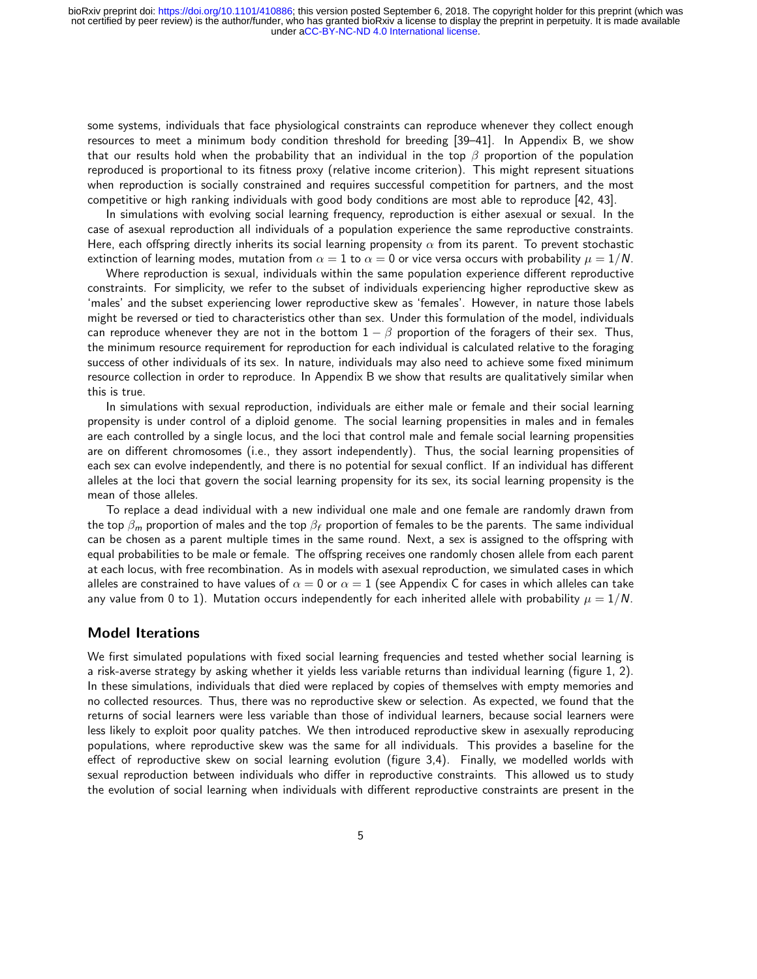some systems, individuals that face physiological constraints can reproduce whenever they collect enough resources to meet a minimum body condition threshold for breeding [39–41]. In Appendix B, we show that our results hold when the probability that an individual in the top  $\beta$  proportion of the population reproduced is proportional to its fitness proxy (relative income criterion). This might represent situations when reproduction is socially constrained and requires successful competition for partners, and the most competitive or high ranking individuals with good body conditions are most able to reproduce [42, 43].

In simulations with evolving social learning frequency, reproduction is either asexual or sexual. In the case of asexual reproduction all individuals of a population experience the same reproductive constraints. Here, each offspring directly inherits its social learning propensity  $\alpha$  from its parent. To prevent stochastic extinction of learning modes, mutation from  $\alpha = 1$  to  $\alpha = 0$  or vice versa occurs with probability  $\mu = 1/N$ .

Where reproduction is sexual, individuals within the same population experience different reproductive constraints. For simplicity, we refer to the subset of individuals experiencing higher reproductive skew as 'males' and the subset experiencing lower reproductive skew as 'females'. However, in nature those labels might be reversed or tied to characteristics other than sex. Under this formulation of the model, individuals can reproduce whenever they are not in the bottom  $1 - \beta$  proportion of the foragers of their sex. Thus, the minimum resource requirement for reproduction for each individual is calculated relative to the foraging success of other individuals of its sex. In nature, individuals may also need to achieve some fixed minimum resource collection in order to reproduce. In Appendix B we show that results are qualitatively similar when this is true.

In simulations with sexual reproduction, individuals are either male or female and their social learning propensity is under control of a diploid genome. The social learning propensities in males and in females are each controlled by a single locus, and the loci that control male and female social learning propensities are on different chromosomes (i.e., they assort independently). Thus, the social learning propensities of each sex can evolve independently, and there is no potential for sexual conflict. If an individual has different alleles at the loci that govern the social learning propensity for its sex, its social learning propensity is the mean of those alleles.

To replace a dead individual with a new individual one male and one female are randomly drawn from the top  $\beta_m$  proportion of males and the top  $\beta_f$  proportion of females to be the parents. The same individual can be chosen as a parent multiple times in the same round. Next, a sex is assigned to the offspring with equal probabilities to be male or female. The offspring receives one randomly chosen allele from each parent at each locus, with free recombination. As in models with asexual reproduction, we simulated cases in which alleles are constrained to have values of  $\alpha = 0$  or  $\alpha = 1$  (see Appendix C for cases in which alleles can take any value from 0 to 1). Mutation occurs independently for each inherited allele with probability  $\mu = 1/N$ .

#### Model Iterations

We first simulated populations with fixed social learning frequencies and tested whether social learning is a risk-averse strategy by asking whether it yields less variable returns than individual learning (figure 1, 2). In these simulations, individuals that died were replaced by copies of themselves with empty memories and no collected resources. Thus, there was no reproductive skew or selection. As expected, we found that the returns of social learners were less variable than those of individual learners, because social learners were less likely to exploit poor quality patches. We then introduced reproductive skew in asexually reproducing populations, where reproductive skew was the same for all individuals. This provides a baseline for the effect of reproductive skew on social learning evolution (figure 3,4). Finally, we modelled worlds with sexual reproduction between individuals who differ in reproductive constraints. This allowed us to study the evolution of social learning when individuals with different reproductive constraints are present in the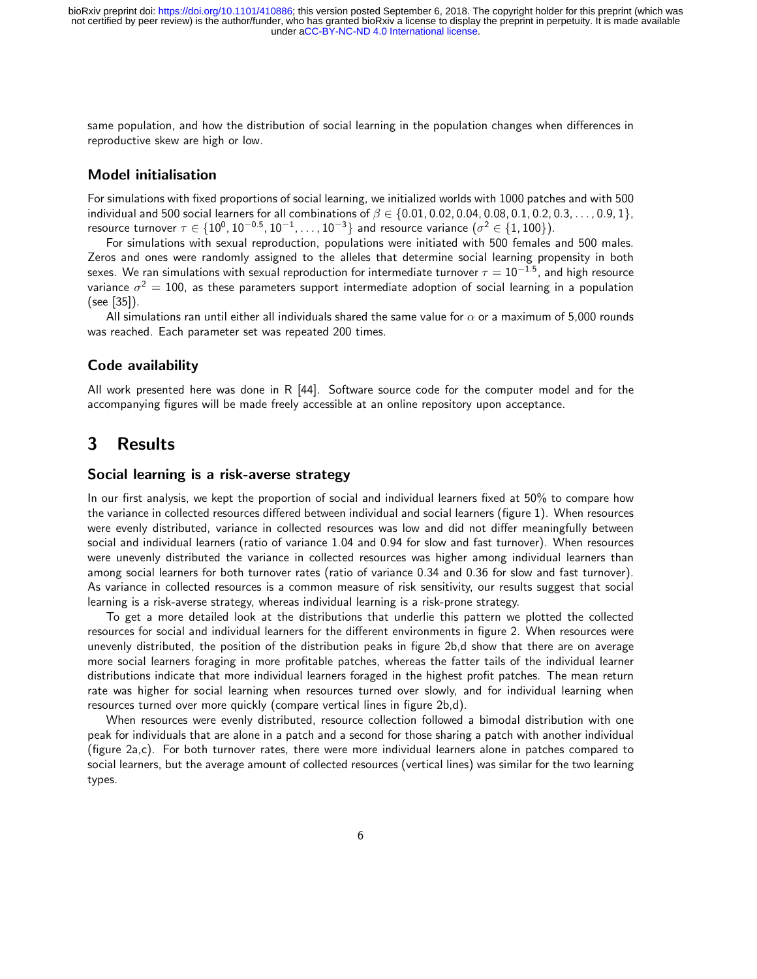same population, and how the distribution of social learning in the population changes when differences in reproductive skew are high or low.

#### Model initialisation

For simulations with fixed proportions of social learning, we initialized worlds with 1000 patches and with 500 individual and 500 social learners for all combinations of  $\beta \in \{0.01, 0.02, 0.04, 0.08, 0.1, 0.2, 0.3, \ldots, 0.9, 1\}$ , resource turnover  $\tau \in \{10^0, 10^{-0.5}, 10^{-1}, \ldots, 10^{-3}\}$  and resource variance  $(\sigma^2 \in \{1, 100\})$ .

For simulations with sexual reproduction, populations were initiated with 500 females and 500 males. Zeros and ones were randomly assigned to the alleles that determine social learning propensity in both sexes. We ran simulations with sexual reproduction for intermediate turnover  $\tau = 10^{-1.5}$ , and high resource variance  $\sigma^2=100$ , as these parameters support intermediate adoption of social learning in a population (see [35]).

All simulations ran until either all individuals shared the same value for  $\alpha$  or a maximum of 5,000 rounds was reached. Each parameter set was repeated 200 times.

#### Code availability

All work presented here was done in R [44]. Software source code for the computer model and for the accompanying figures will be made freely accessible at an online repository upon acceptance.

## 3 Results

#### Social learning is a risk-averse strategy

In our first analysis, we kept the proportion of social and individual learners fixed at 50% to compare how the variance in collected resources differed between individual and social learners (figure 1). When resources were evenly distributed, variance in collected resources was low and did not differ meaningfully between social and individual learners (ratio of variance 1.04 and 0.94 for slow and fast turnover). When resources were unevenly distributed the variance in collected resources was higher among individual learners than among social learners for both turnover rates (ratio of variance 0.34 and 0.36 for slow and fast turnover). As variance in collected resources is a common measure of risk sensitivity, our results suggest that social learning is a risk-averse strategy, whereas individual learning is a risk-prone strategy.

To get a more detailed look at the distributions that underlie this pattern we plotted the collected resources for social and individual learners for the different environments in figure 2. When resources were unevenly distributed, the position of the distribution peaks in figure 2b,d show that there are on average more social learners foraging in more profitable patches, whereas the fatter tails of the individual learner distributions indicate that more individual learners foraged in the highest profit patches. The mean return rate was higher for social learning when resources turned over slowly, and for individual learning when resources turned over more quickly (compare vertical lines in figure 2b,d).

When resources were evenly distributed, resource collection followed a bimodal distribution with one peak for individuals that are alone in a patch and a second for those sharing a patch with another individual (figure 2a,c). For both turnover rates, there were more individual learners alone in patches compared to social learners, but the average amount of collected resources (vertical lines) was similar for the two learning types.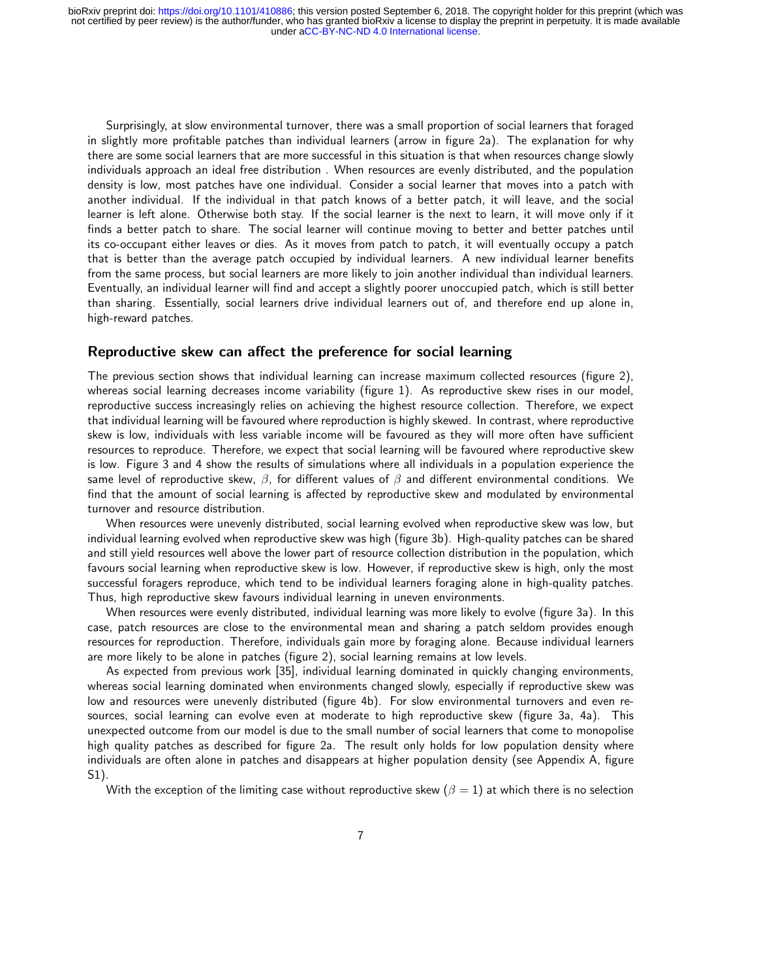Surprisingly, at slow environmental turnover, there was a small proportion of social learners that foraged in slightly more profitable patches than individual learners (arrow in figure 2a). The explanation for why there are some social learners that are more successful in this situation is that when resources change slowly individuals approach an ideal free distribution . When resources are evenly distributed, and the population density is low, most patches have one individual. Consider a social learner that moves into a patch with another individual. If the individual in that patch knows of a better patch, it will leave, and the social learner is left alone. Otherwise both stay. If the social learner is the next to learn, it will move only if it finds a better patch to share. The social learner will continue moving to better and better patches until its co-occupant either leaves or dies. As it moves from patch to patch, it will eventually occupy a patch that is better than the average patch occupied by individual learners. A new individual learner benefits from the same process, but social learners are more likely to join another individual than individual learners. Eventually, an individual learner will find and accept a slightly poorer unoccupied patch, which is still better than sharing. Essentially, social learners drive individual learners out of, and therefore end up alone in, high-reward patches.

#### Reproductive skew can affect the preference for social learning

The previous section shows that individual learning can increase maximum collected resources (figure 2), whereas social learning decreases income variability (figure 1). As reproductive skew rises in our model, reproductive success increasingly relies on achieving the highest resource collection. Therefore, we expect that individual learning will be favoured where reproduction is highly skewed. In contrast, where reproductive skew is low, individuals with less variable income will be favoured as they will more often have sufficient resources to reproduce. Therefore, we expect that social learning will be favoured where reproductive skew is low. Figure 3 and 4 show the results of simulations where all individuals in a population experience the same level of reproductive skew,  $\beta$ , for different values of  $\beta$  and different environmental conditions. We find that the amount of social learning is affected by reproductive skew and modulated by environmental turnover and resource distribution.

When resources were unevenly distributed, social learning evolved when reproductive skew was low, but individual learning evolved when reproductive skew was high (figure 3b). High-quality patches can be shared and still yield resources well above the lower part of resource collection distribution in the population, which favours social learning when reproductive skew is low. However, if reproductive skew is high, only the most successful foragers reproduce, which tend to be individual learners foraging alone in high-quality patches. Thus, high reproductive skew favours individual learning in uneven environments.

When resources were evenly distributed, individual learning was more likely to evolve (figure 3a). In this case, patch resources are close to the environmental mean and sharing a patch seldom provides enough resources for reproduction. Therefore, individuals gain more by foraging alone. Because individual learners are more likely to be alone in patches (figure 2), social learning remains at low levels.

As expected from previous work [35], individual learning dominated in quickly changing environments, whereas social learning dominated when environments changed slowly, especially if reproductive skew was low and resources were unevenly distributed (figure 4b). For slow environmental turnovers and even resources, social learning can evolve even at moderate to high reproductive skew (figure 3a, 4a). This unexpected outcome from our model is due to the small number of social learners that come to monopolise high quality patches as described for figure 2a. The result only holds for low population density where individuals are often alone in patches and disappears at higher population density (see Appendix A, figure S1).

With the exception of the limiting case without reproductive skew ( $\beta = 1$ ) at which there is no selection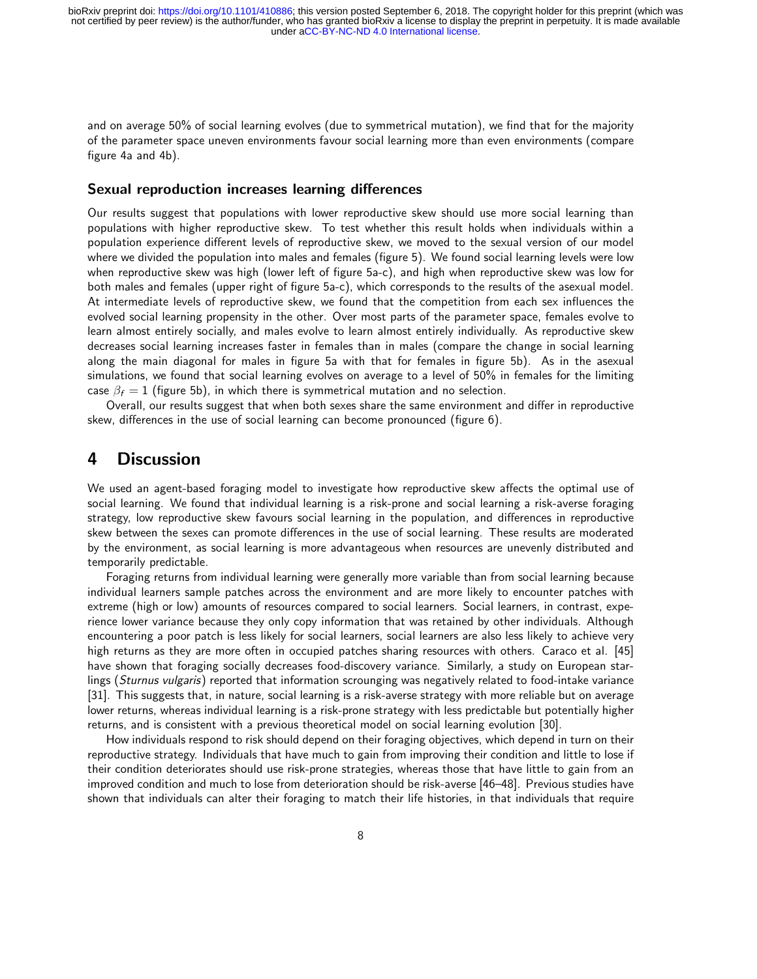and on average 50% of social learning evolves (due to symmetrical mutation), we find that for the majority of the parameter space uneven environments favour social learning more than even environments (compare figure 4a and 4b).

#### Sexual reproduction increases learning differences

Our results suggest that populations with lower reproductive skew should use more social learning than populations with higher reproductive skew. To test whether this result holds when individuals within a population experience different levels of reproductive skew, we moved to the sexual version of our model where we divided the population into males and females (figure 5). We found social learning levels were low when reproductive skew was high (lower left of figure 5a-c), and high when reproductive skew was low for both males and females (upper right of figure 5a-c), which corresponds to the results of the asexual model. At intermediate levels of reproductive skew, we found that the competition from each sex influences the evolved social learning propensity in the other. Over most parts of the parameter space, females evolve to learn almost entirely socially, and males evolve to learn almost entirely individually. As reproductive skew decreases social learning increases faster in females than in males (compare the change in social learning along the main diagonal for males in figure 5a with that for females in figure 5b). As in the asexual simulations, we found that social learning evolves on average to a level of 50% in females for the limiting case  $\beta_f = 1$  (figure 5b), in which there is symmetrical mutation and no selection.

Overall, our results suggest that when both sexes share the same environment and differ in reproductive skew, differences in the use of social learning can become pronounced (figure 6).

### 4 Discussion

We used an agent-based foraging model to investigate how reproductive skew affects the optimal use of social learning. We found that individual learning is a risk-prone and social learning a risk-averse foraging strategy, low reproductive skew favours social learning in the population, and differences in reproductive skew between the sexes can promote differences in the use of social learning. These results are moderated by the environment, as social learning is more advantageous when resources are unevenly distributed and temporarily predictable.

Foraging returns from individual learning were generally more variable than from social learning because individual learners sample patches across the environment and are more likely to encounter patches with extreme (high or low) amounts of resources compared to social learners. Social learners, in contrast, experience lower variance because they only copy information that was retained by other individuals. Although encountering a poor patch is less likely for social learners, social learners are also less likely to achieve very high returns as they are more often in occupied patches sharing resources with others. Caraco et al. [45] have shown that foraging socially decreases food-discovery variance. Similarly, a study on European starlings (Sturnus vulgaris) reported that information scrounging was negatively related to food-intake variance [31]. This suggests that, in nature, social learning is a risk-averse strategy with more reliable but on average lower returns, whereas individual learning is a risk-prone strategy with less predictable but potentially higher returns, and is consistent with a previous theoretical model on social learning evolution [30].

How individuals respond to risk should depend on their foraging objectives, which depend in turn on their reproductive strategy. Individuals that have much to gain from improving their condition and little to lose if their condition deteriorates should use risk-prone strategies, whereas those that have little to gain from an improved condition and much to lose from deterioration should be risk-averse [46–48]. Previous studies have shown that individuals can alter their foraging to match their life histories, in that individuals that require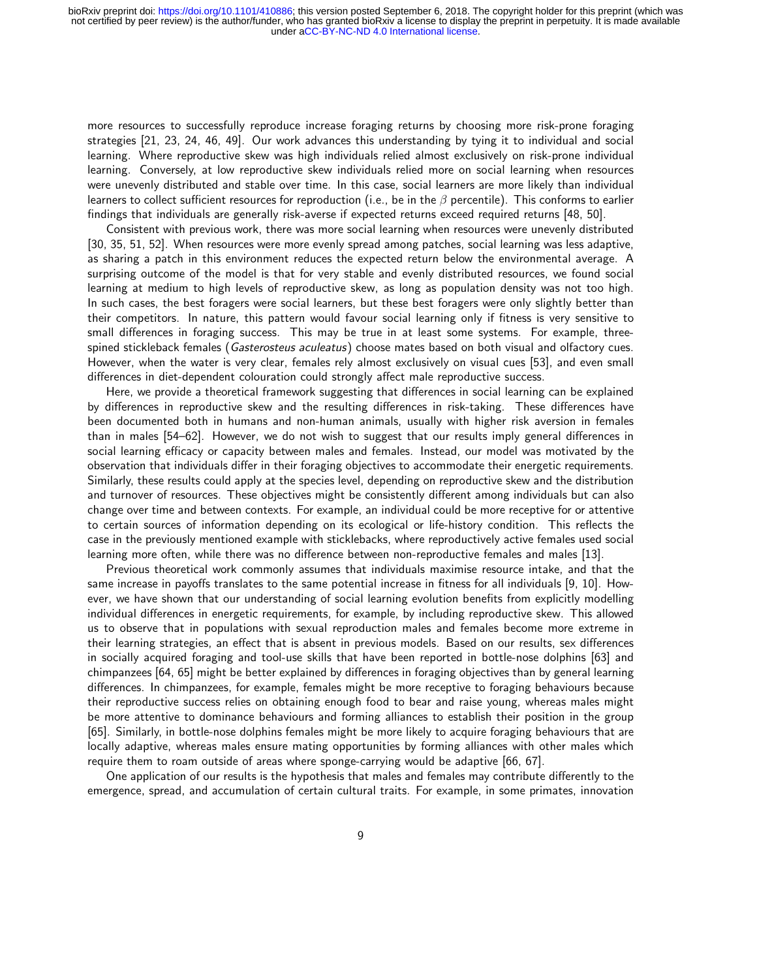more resources to successfully reproduce increase foraging returns by choosing more risk-prone foraging strategies [21, 23, 24, 46, 49]. Our work advances this understanding by tying it to individual and social learning. Where reproductive skew was high individuals relied almost exclusively on risk-prone individual learning. Conversely, at low reproductive skew individuals relied more on social learning when resources were unevenly distributed and stable over time. In this case, social learners are more likely than individual learners to collect sufficient resources for reproduction (i.e., be in the  $\beta$  percentile). This conforms to earlier findings that individuals are generally risk-averse if expected returns exceed required returns [48, 50].

Consistent with previous work, there was more social learning when resources were unevenly distributed [30, 35, 51, 52]. When resources were more evenly spread among patches, social learning was less adaptive, as sharing a patch in this environment reduces the expected return below the environmental average. A surprising outcome of the model is that for very stable and evenly distributed resources, we found social learning at medium to high levels of reproductive skew, as long as population density was not too high. In such cases, the best foragers were social learners, but these best foragers were only slightly better than their competitors. In nature, this pattern would favour social learning only if fitness is very sensitive to small differences in foraging success. This may be true in at least some systems. For example, threespined stickleback females (Gasterosteus aculeatus) choose mates based on both visual and olfactory cues. However, when the water is very clear, females rely almost exclusively on visual cues [53], and even small differences in diet-dependent colouration could strongly affect male reproductive success.

Here, we provide a theoretical framework suggesting that differences in social learning can be explained by differences in reproductive skew and the resulting differences in risk-taking. These differences have been documented both in humans and non-human animals, usually with higher risk aversion in females than in males [54–62]. However, we do not wish to suggest that our results imply general differences in social learning efficacy or capacity between males and females. Instead, our model was motivated by the observation that individuals differ in their foraging objectives to accommodate their energetic requirements. Similarly, these results could apply at the species level, depending on reproductive skew and the distribution and turnover of resources. These objectives might be consistently different among individuals but can also change over time and between contexts. For example, an individual could be more receptive for or attentive to certain sources of information depending on its ecological or life-history condition. This reflects the case in the previously mentioned example with sticklebacks, where reproductively active females used social learning more often, while there was no difference between non-reproductive females and males [13].

Previous theoretical work commonly assumes that individuals maximise resource intake, and that the same increase in payoffs translates to the same potential increase in fitness for all individuals [9, 10]. However, we have shown that our understanding of social learning evolution benefits from explicitly modelling individual differences in energetic requirements, for example, by including reproductive skew. This allowed us to observe that in populations with sexual reproduction males and females become more extreme in their learning strategies, an effect that is absent in previous models. Based on our results, sex differences in socially acquired foraging and tool-use skills that have been reported in bottle-nose dolphins [63] and chimpanzees [64, 65] might be better explained by differences in foraging objectives than by general learning differences. In chimpanzees, for example, females might be more receptive to foraging behaviours because their reproductive success relies on obtaining enough food to bear and raise young, whereas males might be more attentive to dominance behaviours and forming alliances to establish their position in the group [65]. Similarly, in bottle-nose dolphins females might be more likely to acquire foraging behaviours that are locally adaptive, whereas males ensure mating opportunities by forming alliances with other males which require them to roam outside of areas where sponge-carrying would be adaptive [66, 67].

One application of our results is the hypothesis that males and females may contribute differently to the emergence, spread, and accumulation of certain cultural traits. For example, in some primates, innovation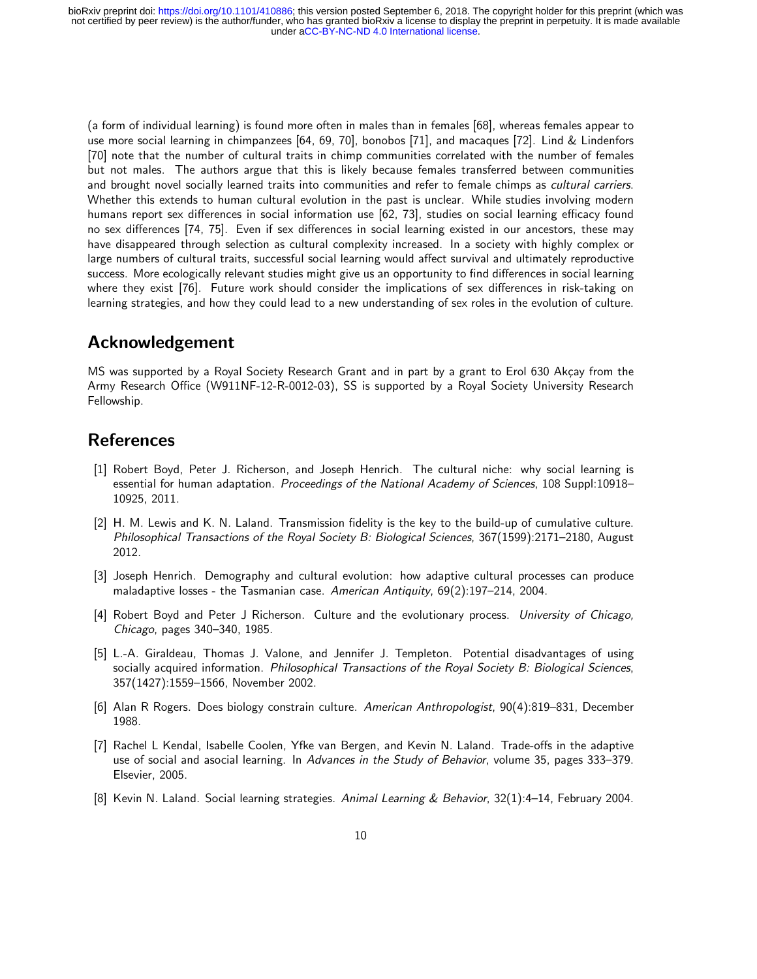(a form of individual learning) is found more often in males than in females [68], whereas females appear to use more social learning in chimpanzees [64, 69, 70], bonobos [71], and macaques [72]. Lind & Lindenfors [70] note that the number of cultural traits in chimp communities correlated with the number of females but not males. The authors argue that this is likely because females transferred between communities and brought novel socially learned traits into communities and refer to female chimps as *cultural carriers*. Whether this extends to human cultural evolution in the past is unclear. While studies involving modern humans report sex differences in social information use [62, 73], studies on social learning efficacy found no sex differences [74, 75]. Even if sex differences in social learning existed in our ancestors, these may have disappeared through selection as cultural complexity increased. In a society with highly complex or large numbers of cultural traits, successful social learning would affect survival and ultimately reproductive success. More ecologically relevant studies might give us an opportunity to find differences in social learning where they exist [76]. Future work should consider the implications of sex differences in risk-taking on learning strategies, and how they could lead to a new understanding of sex roles in the evolution of culture.

## Acknowledgement

MS was supported by a Royal Society Research Grant and in part by a grant to Erol 630 Akçay from the Army Research Office (W911NF-12-R-0012-03), SS is supported by a Royal Society University Research Fellowship.

## **References**

- [1] Robert Boyd, Peter J. Richerson, and Joseph Henrich. The cultural niche: why social learning is essential for human adaptation. Proceedings of the National Academy of Sciences, 108 Suppl:10918– 10925, 2011.
- [2] H. M. Lewis and K. N. Laland. Transmission fidelity is the key to the build-up of cumulative culture. Philosophical Transactions of the Royal Society B: Biological Sciences, 367(1599):2171–2180, August 2012.
- [3] Joseph Henrich. Demography and cultural evolution: how adaptive cultural processes can produce maladaptive losses - the Tasmanian case. American Antiquity, 69(2):197-214, 2004.
- [4] Robert Boyd and Peter J Richerson. Culture and the evolutionary process. University of Chicago, Chicago, pages 340–340, 1985.
- [5] L.-A. Giraldeau, Thomas J. Valone, and Jennifer J. Templeton. Potential disadvantages of using socially acquired information. *Philosophical Transactions of the Royal Society B: Biological Sciences*, 357(1427):1559–1566, November 2002.
- [6] Alan R Rogers. Does biology constrain culture. American Anthropologist, 90(4):819–831, December 1988.
- [7] Rachel L Kendal, Isabelle Coolen, Yfke van Bergen, and Kevin N. Laland. Trade-offs in the adaptive use of social and asocial learning. In Advances in the Study of Behavior, volume 35, pages 333–379. Elsevier, 2005.
- [8] Kevin N. Laland. Social learning strategies. Animal Learning & Behavior, 32(1):4–14, February 2004.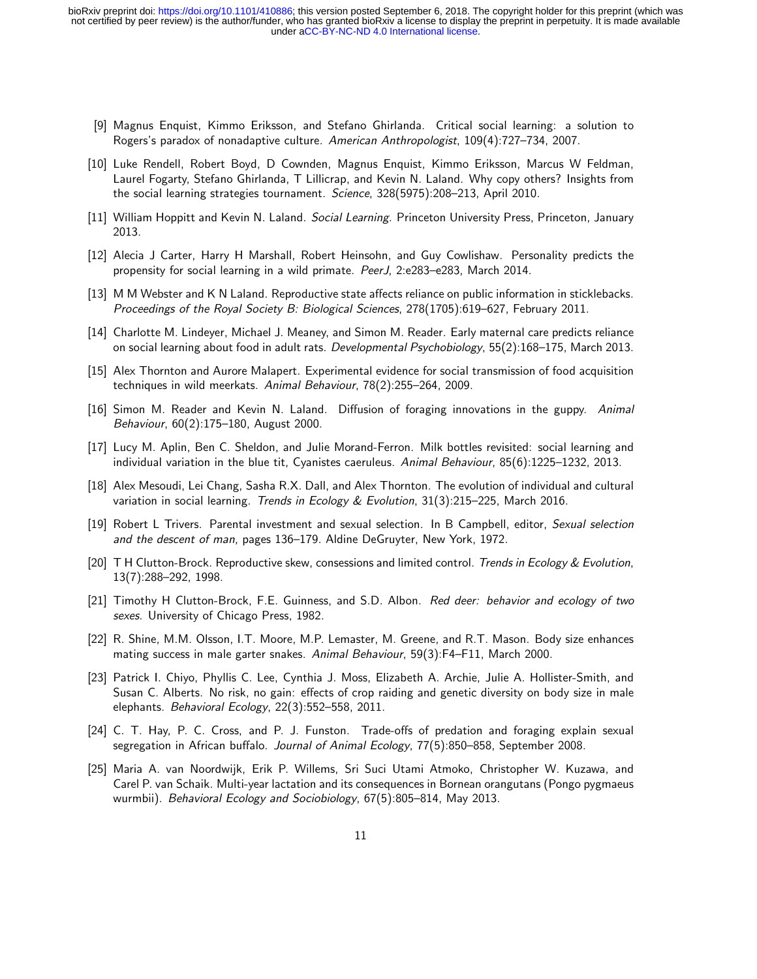- [9] Magnus Enquist, Kimmo Eriksson, and Stefano Ghirlanda. Critical social learning: a solution to Rogers's paradox of nonadaptive culture. American Anthropologist, 109(4):727–734, 2007.
- [10] Luke Rendell, Robert Boyd, D Cownden, Magnus Enquist, Kimmo Eriksson, Marcus W Feldman, Laurel Fogarty, Stefano Ghirlanda, T Lillicrap, and Kevin N. Laland. Why copy others? Insights from the social learning strategies tournament. Science, 328(5975):208–213, April 2010.
- [11] William Hoppitt and Kevin N. Laland. Social Learning. Princeton University Press, Princeton, January 2013.
- [12] Alecia J Carter, Harry H Marshall, Robert Heinsohn, and Guy Cowlishaw. Personality predicts the propensity for social learning in a wild primate. PeerJ, 2:e283–e283, March 2014.
- [13] M M Webster and K N Laland. Reproductive state affects reliance on public information in sticklebacks. Proceedings of the Royal Society B: Biological Sciences, 278(1705):619–627, February 2011.
- [14] Charlotte M. Lindeyer, Michael J. Meaney, and Simon M. Reader. Early maternal care predicts reliance on social learning about food in adult rats. Developmental Psychobiology, 55(2):168–175, March 2013.
- [15] Alex Thornton and Aurore Malapert. Experimental evidence for social transmission of food acquisition techniques in wild meerkats. Animal Behaviour, 78(2):255–264, 2009.
- [16] Simon M. Reader and Kevin N. Laland. Diffusion of foraging innovations in the guppy. Animal Behaviour, 60(2):175–180, August 2000.
- [17] Lucy M. Aplin, Ben C. Sheldon, and Julie Morand-Ferron. Milk bottles revisited: social learning and individual variation in the blue tit, Cyanistes caeruleus. Animal Behaviour, 85(6):1225–1232, 2013.
- [18] Alex Mesoudi, Lei Chang, Sasha R.X. Dall, and Alex Thornton. The evolution of individual and cultural variation in social learning. Trends in Ecology & Evolution,  $31(3)$ :215–225, March 2016.
- [19] Robert L Trivers. Parental investment and sexual selection. In B Campbell, editor, Sexual selection and the descent of man, pages 136–179. Aldine DeGruyter, New York, 1972.
- [20] T H Clutton-Brock. Reproductive skew, consessions and limited control. Trends in Ecology & Evolution, 13(7):288–292, 1998.
- [21] Timothy H Clutton-Brock, F.E. Guinness, and S.D. Albon. Red deer: behavior and ecology of two sexes. University of Chicago Press, 1982.
- [22] R. Shine, M.M. Olsson, I.T. Moore, M.P. Lemaster, M. Greene, and R.T. Mason. Body size enhances mating success in male garter snakes. Animal Behaviour, 59(3):F4–F11, March 2000.
- [23] Patrick I. Chiyo, Phyllis C. Lee, Cynthia J. Moss, Elizabeth A. Archie, Julie A. Hollister-Smith, and Susan C. Alberts. No risk, no gain: effects of crop raiding and genetic diversity on body size in male elephants. Behavioral Ecology, 22(3):552–558, 2011.
- [24] C. T. Hay, P. C. Cross, and P. J. Funston. Trade-offs of predation and foraging explain sexual segregation in African buffalo. Journal of Animal Ecology, 77(5):850-858, September 2008.
- [25] Maria A. van Noordwijk, Erik P. Willems, Sri Suci Utami Atmoko, Christopher W. Kuzawa, and Carel P. van Schaik. Multi-year lactation and its consequences in Bornean orangutans (Pongo pygmaeus wurmbii). *Behavioral Ecology and Sociobiology*, 67(5):805–814, May 2013.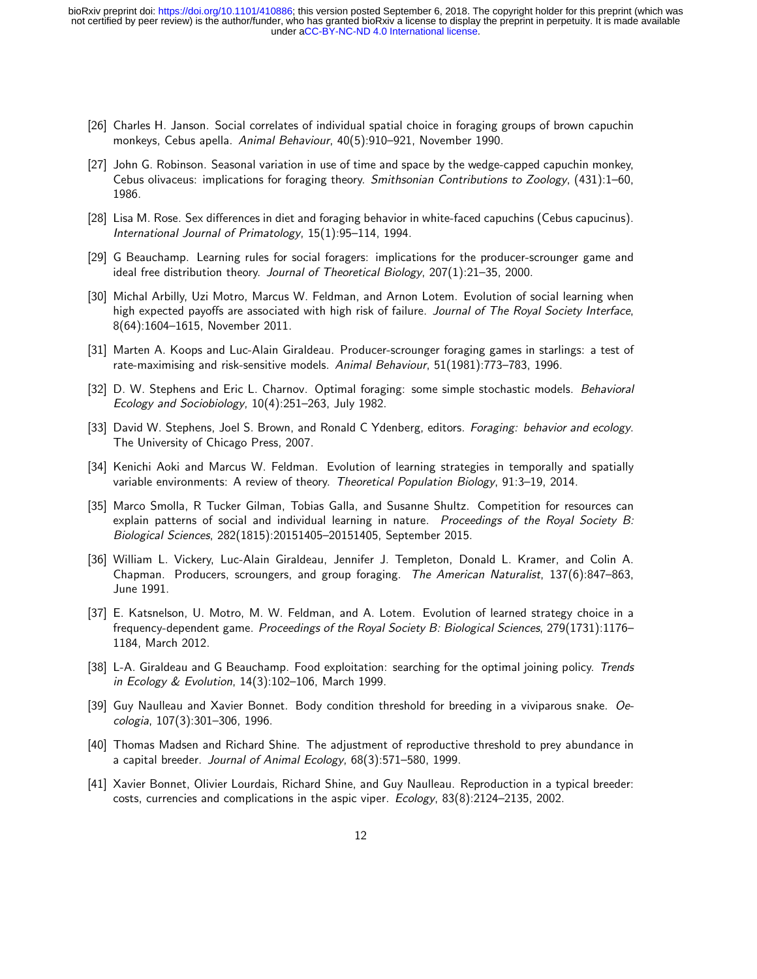- [26] Charles H. Janson. Social correlates of individual spatial choice in foraging groups of brown capuchin monkeys, Cebus apella. Animal Behaviour, 40(5):910–921, November 1990.
- [27] John G. Robinson. Seasonal variation in use of time and space by the wedge-capped capuchin monkey, Cebus olivaceus: implications for foraging theory. Smithsonian Contributions to Zoology, (431):1–60, 1986.
- [28] Lisa M. Rose. Sex differences in diet and foraging behavior in white-faced capuchins (Cebus capucinus). International Journal of Primatology, 15(1):95–114, 1994.
- [29] G Beauchamp. Learning rules for social foragers: implications for the producer-scrounger game and ideal free distribution theory. Journal of Theoretical Biology, 207(1):21–35, 2000.
- [30] Michal Arbilly, Uzi Motro, Marcus W. Feldman, and Arnon Lotem. Evolution of social learning when high expected payoffs are associated with high risk of failure. Journal of The Royal Society Interface, 8(64):1604–1615, November 2011.
- [31] Marten A. Koops and Luc-Alain Giraldeau. Producer-scrounger foraging games in starlings: a test of rate-maximising and risk-sensitive models. Animal Behaviour, 51(1981):773–783, 1996.
- [32] D. W. Stephens and Eric L. Charnov. Optimal foraging: some simple stochastic models. Behavioral Ecology and Sociobiology, 10(4):251–263, July 1982.
- [33] David W. Stephens, Joel S. Brown, and Ronald C Ydenberg, editors. Foraging: behavior and ecology. The University of Chicago Press, 2007.
- [34] Kenichi Aoki and Marcus W. Feldman. Evolution of learning strategies in temporally and spatially variable environments: A review of theory. Theoretical Population Biology, 91:3–19, 2014.
- [35] Marco Smolla, R Tucker Gilman, Tobias Galla, and Susanne Shultz. Competition for resources can explain patterns of social and individual learning in nature. Proceedings of the Royal Society B: Biological Sciences, 282(1815):20151405–20151405, September 2015.
- [36] William L. Vickery, Luc-Alain Giraldeau, Jennifer J. Templeton, Donald L. Kramer, and Colin A. Chapman. Producers, scroungers, and group foraging. The American Naturalist, 137(6):847–863, June 1991.
- [37] E. Katsnelson, U. Motro, M. W. Feldman, and A. Lotem. Evolution of learned strategy choice in a frequency-dependent game. Proceedings of the Royal Society B: Biological Sciences, 279(1731):1176– 1184, March 2012.
- [38] L-A. Giraldeau and G Beauchamp. Food exploitation: searching for the optimal joining policy. Trends in Ecology & Evolution, 14(3):102–106, March 1999.
- [39] Guy Naulleau and Xavier Bonnet. Body condition threshold for breeding in a viviparous snake. Oecologia, 107(3):301–306, 1996.
- [40] Thomas Madsen and Richard Shine. The adjustment of reproductive threshold to prey abundance in a capital breeder. Journal of Animal Ecology, 68(3):571–580, 1999.
- [41] Xavier Bonnet, Olivier Lourdais, Richard Shine, and Guy Naulleau. Reproduction in a typical breeder: costs, currencies and complications in the aspic viper. Ecology, 83(8):2124–2135, 2002.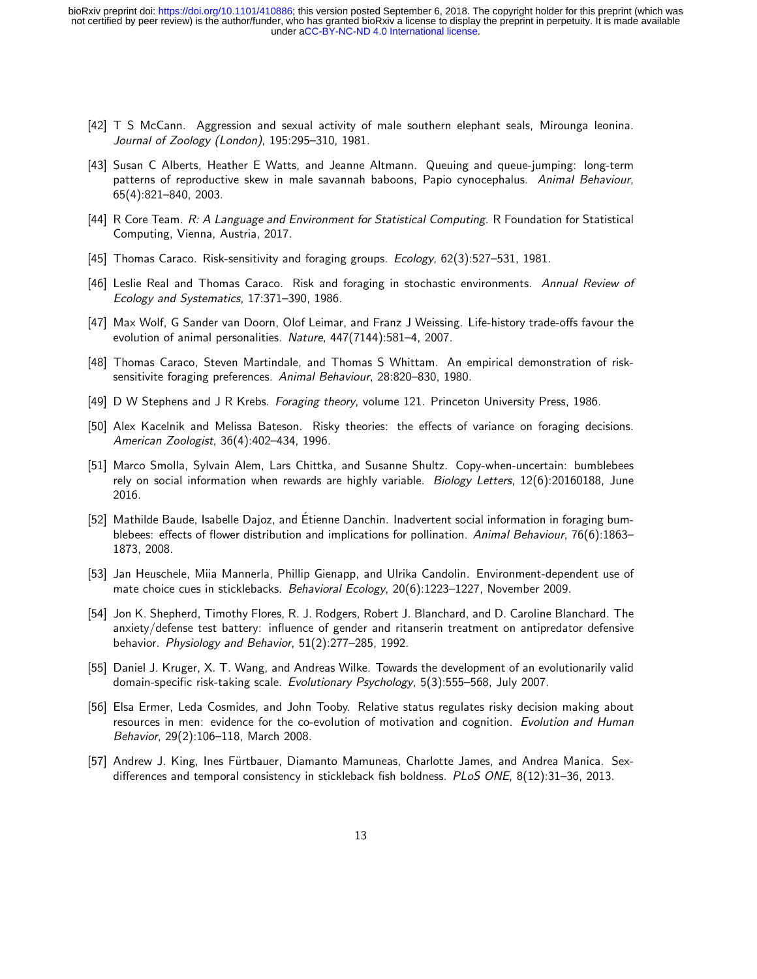- [42] T S McCann. Aggression and sexual activity of male southern elephant seals, Mirounga leonina. Journal of Zoology (London), 195:295–310, 1981.
- [43] Susan C Alberts, Heather E Watts, and Jeanne Altmann. Queuing and queue-jumping: long-term patterns of reproductive skew in male savannah baboons, Papio cynocephalus. Animal Behaviour, 65(4):821–840, 2003.
- [44] R Core Team. R: A Language and Environment for Statistical Computing. R Foundation for Statistical Computing, Vienna, Austria, 2017.
- [45] Thomas Caraco. Risk-sensitivity and foraging groups. Ecology, 62(3):527–531, 1981.
- [46] Leslie Real and Thomas Caraco. Risk and foraging in stochastic environments. Annual Review of Ecology and Systematics, 17:371–390, 1986.
- [47] Max Wolf, G Sander van Doorn, Olof Leimar, and Franz J Weissing. Life-history trade-offs favour the evolution of animal personalities. Nature, 447(7144):581–4, 2007.
- [48] Thomas Caraco, Steven Martindale, and Thomas S Whittam. An empirical demonstration of risksensitivite foraging preferences. Animal Behaviour, 28:820–830, 1980.
- [49] D W Stephens and J R Krebs. Foraging theory, volume 121. Princeton University Press, 1986.
- [50] Alex Kacelnik and Melissa Bateson. Risky theories: the effects of variance on foraging decisions. American Zoologist, 36(4):402–434, 1996.
- [51] Marco Smolla, Sylvain Alem, Lars Chittka, and Susanne Shultz. Copy-when-uncertain: bumblebees rely on social information when rewards are highly variable. Biology Letters, 12(6):20160188, June 2016.
- [52] Mathilde Baude, Isabelle Dajoz, and Étienne Danchin. Inadvertent social information in foraging bumblebees: effects of flower distribution and implications for pollination. Animal Behaviour, 76(6):1863– 1873, 2008.
- [53] Jan Heuschele, Miia Mannerla, Phillip Gienapp, and Ulrika Candolin. Environment-dependent use of mate choice cues in sticklebacks. Behavioral Ecology, 20(6):1223-1227, November 2009.
- [54] Jon K. Shepherd, Timothy Flores, R. J. Rodgers, Robert J. Blanchard, and D. Caroline Blanchard. The anxiety/defense test battery: influence of gender and ritanserin treatment on antipredator defensive behavior. Physiology and Behavior, 51(2):277–285, 1992.
- [55] Daniel J. Kruger, X. T. Wang, and Andreas Wilke. Towards the development of an evolutionarily valid domain-specific risk-taking scale. Evolutionary Psychology, 5(3):555–568, July 2007.
- [56] Elsa Ermer, Leda Cosmides, and John Tooby. Relative status regulates risky decision making about resources in men: evidence for the co-evolution of motivation and cognition. Evolution and Human Behavior, 29(2):106–118, March 2008.
- [57] Andrew J. King, Ines Fürtbauer, Diamanto Mamuneas, Charlotte James, and Andrea Manica. Sexdifferences and temporal consistency in stickleback fish boldness. PLoS ONE, 8(12):31–36, 2013.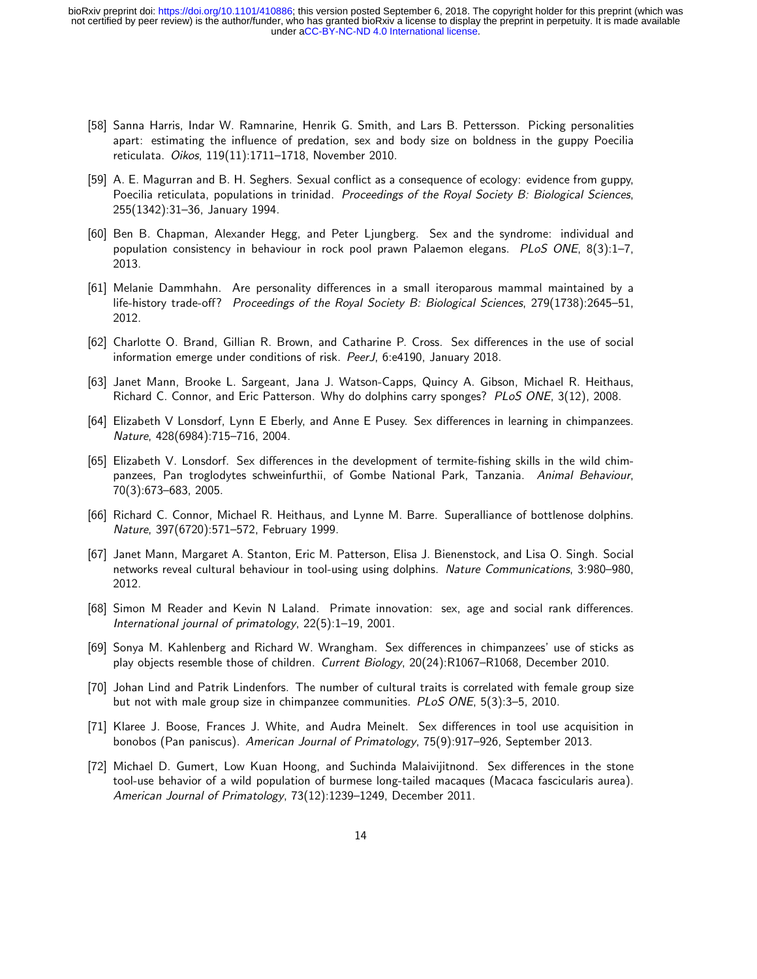- [58] Sanna Harris, Indar W. Ramnarine, Henrik G. Smith, and Lars B. Pettersson. Picking personalities apart: estimating the influence of predation, sex and body size on boldness in the guppy Poecilia reticulata. Oikos, 119(11):1711–1718, November 2010.
- [59] A. E. Magurran and B. H. Seghers. Sexual conflict as a consequence of ecology: evidence from guppy, Poecilia reticulata, populations in trinidad. Proceedings of the Royal Society B: Biological Sciences, 255(1342):31–36, January 1994.
- [60] Ben B. Chapman, Alexander Hegg, and Peter Ljungberg. Sex and the syndrome: individual and population consistency in behaviour in rock pool prawn Palaemon elegans. PLoS ONE, 8(3):1-7, 2013.
- [61] Melanie Dammhahn. Are personality differences in a small iteroparous mammal maintained by a life-history trade-off? Proceedings of the Royal Society B: Biological Sciences, 279(1738):2645–51, 2012.
- [62] Charlotte O. Brand, Gillian R. Brown, and Catharine P. Cross. Sex differences in the use of social information emerge under conditions of risk. PeerJ, 6:e4190, January 2018.
- [63] Janet Mann, Brooke L. Sargeant, Jana J. Watson-Capps, Quincy A. Gibson, Michael R. Heithaus, Richard C. Connor, and Eric Patterson. Why do dolphins carry sponges? PLoS ONE, 3(12), 2008.
- [64] Elizabeth V Lonsdorf, Lynn E Eberly, and Anne E Pusey. Sex differences in learning in chimpanzees. Nature, 428(6984):715–716, 2004.
- [65] Elizabeth V. Lonsdorf. Sex differences in the development of termite-fishing skills in the wild chimpanzees, Pan troglodytes schweinfurthii, of Gombe National Park, Tanzania. Animal Behaviour, 70(3):673–683, 2005.
- [66] Richard C. Connor, Michael R. Heithaus, and Lynne M. Barre. Superalliance of bottlenose dolphins. Nature, 397(6720):571–572, February 1999.
- [67] Janet Mann, Margaret A. Stanton, Eric M. Patterson, Elisa J. Bienenstock, and Lisa O. Singh. Social networks reveal cultural behaviour in tool-using using dolphins. Nature Communications, 3:980–980, 2012.
- [68] Simon M Reader and Kevin N Laland. Primate innovation: sex, age and social rank differences. International journal of primatology, 22(5):1–19, 2001.
- [69] Sonya M. Kahlenberg and Richard W. Wrangham. Sex differences in chimpanzees' use of sticks as play objects resemble those of children. Current Biology, 20(24):R1067–R1068, December 2010.
- [70] Johan Lind and Patrik Lindenfors. The number of cultural traits is correlated with female group size but not with male group size in chimpanzee communities. PLoS ONE, 5(3):3–5, 2010.
- [71] Klaree J. Boose, Frances J. White, and Audra Meinelt. Sex differences in tool use acquisition in bonobos (Pan paniscus). American Journal of Primatology, 75(9):917–926, September 2013.
- [72] Michael D. Gumert, Low Kuan Hoong, and Suchinda Malaivijitnond. Sex differences in the stone tool-use behavior of a wild population of burmese long-tailed macaques (Macaca fascicularis aurea). American Journal of Primatology, 73(12):1239–1249, December 2011.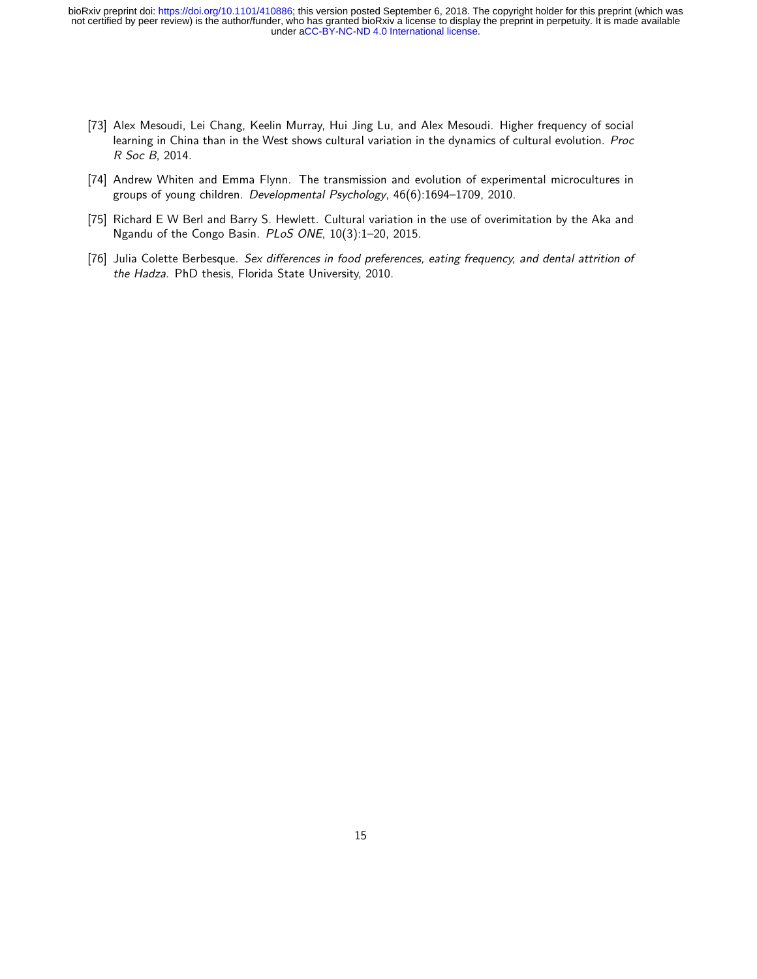- [73] Alex Mesoudi, Lei Chang, Keelin Murray, Hui Jing Lu, and Alex Mesoudi. Higher frequency of social learning in China than in the West shows cultural variation in the dynamics of cultural evolution. Proc R Soc B, 2014.
- [74] Andrew Whiten and Emma Flynn. The transmission and evolution of experimental microcultures in groups of young children. Developmental Psychology, 46(6):1694–1709, 2010.
- [75] Richard E W Berl and Barry S. Hewlett. Cultural variation in the use of overimitation by the Aka and Ngandu of the Congo Basin. PLoS ONE, 10(3):1–20, 2015.
- [76] Julia Colette Berbesque. Sex differences in food preferences, eating frequency, and dental attrition of the Hadza. PhD thesis, Florida State University, 2010.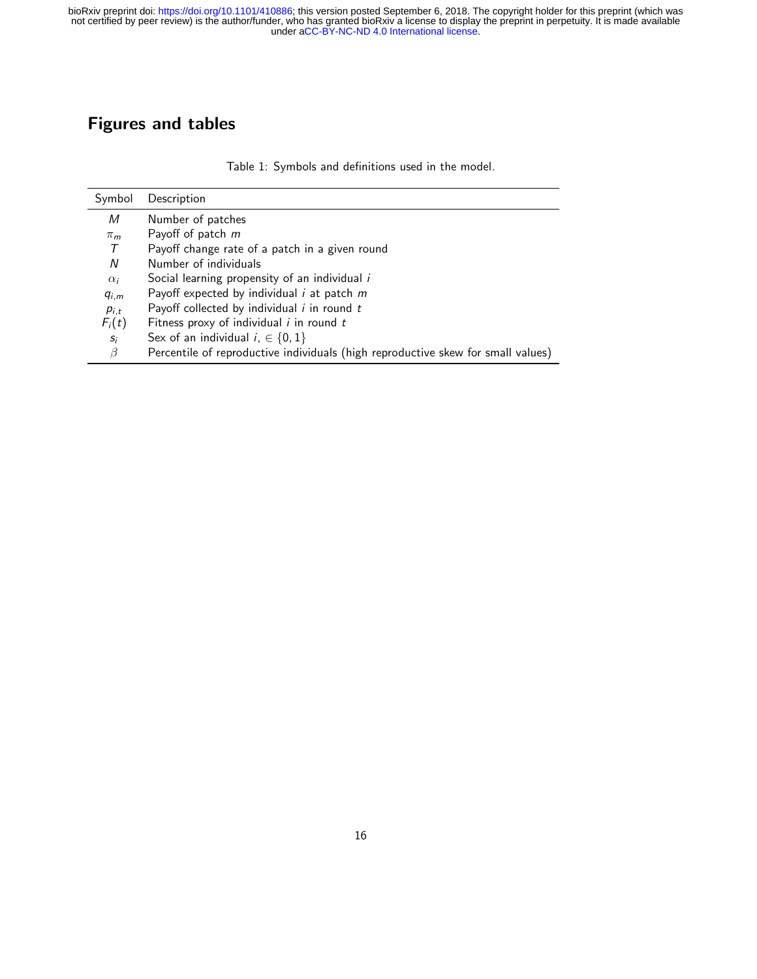# Figures and tables

| Table 1: Symbols and definitions used in the model. |  |  |
|-----------------------------------------------------|--|--|
|                                                     |  |  |

| Symbol     | Description                                                                      |
|------------|----------------------------------------------------------------------------------|
| М          | Number of patches                                                                |
| $\pi_m$    | Payoff of patch m                                                                |
| Τ          | Payoff change rate of a patch in a given round                                   |
| N          | Number of individuals                                                            |
| $\alpha_i$ | Social learning propensity of an individual i                                    |
| $q_{i,m}$  | Payoff expected by individual $i$ at patch $m$                                   |
| $p_{i,t}$  | Payoff collected by individual $i$ in round $t$                                  |
| $F_i(t)$   | Fitness proxy of individual $i$ in round $t$                                     |
| $S_i$      | Sex of an individual $i, \in \{0, 1\}$                                           |
| $\beta$    | Percentile of reproductive individuals (high reproductive skew for small values) |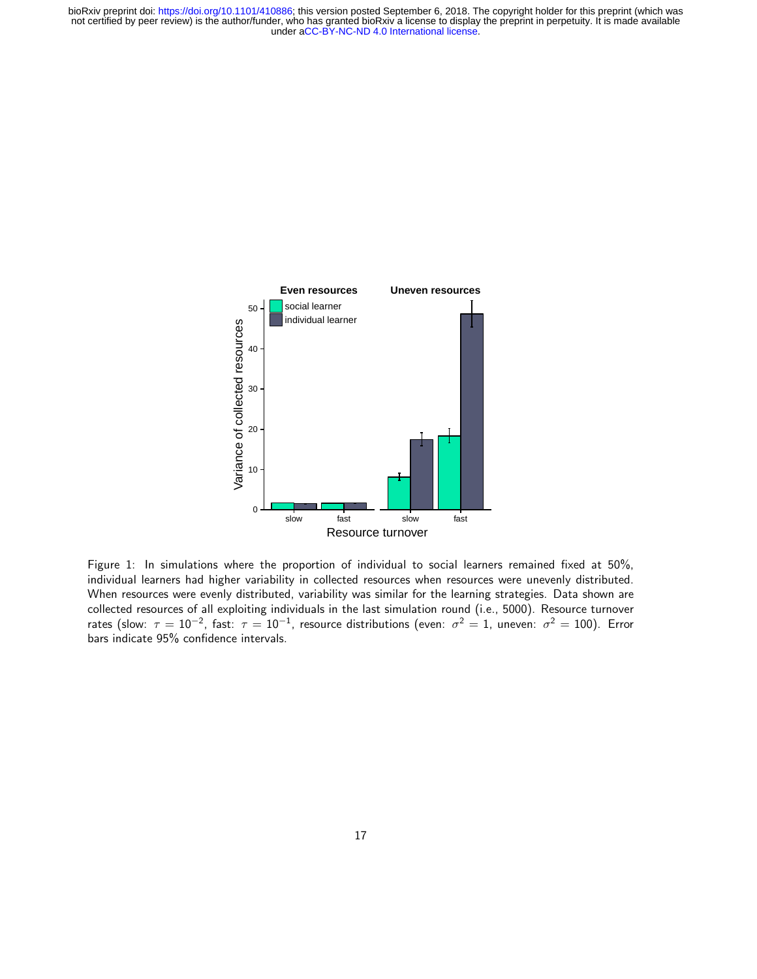

Figure 1: In simulations where the proportion of individual to social learners remained fixed at 50%, individual learners had higher variability in collected resources when resources were unevenly distributed. When resources were evenly distributed, variability was similar for the learning strategies. Data shown are collected resources of all exploiting individuals in the last simulation round (i.e., 5000). Resource turnover rates (slow:  $\tau=10^{-2}$ , fast:  $\tau=10^{-1}$ , resource distributions (even:  $\sigma^2=1$ , uneven:  $\sigma^2=100$ ). Error bars indicate 95% confidence intervals.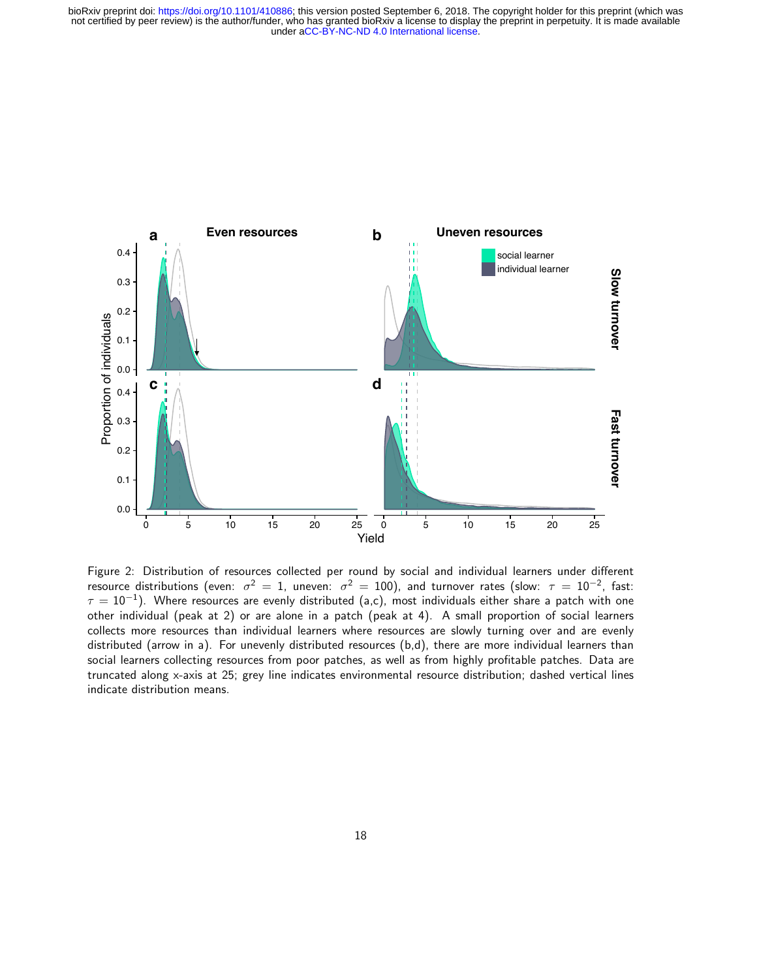

Figure 2: Distribution of resources collected per round by social and individual learners under different resource distributions (even:  $\sigma^2 = 1$ , uneven:  $\sigma^2 = 100$ ), and turnover rates (slow:  $\tau = 10^{-2}$ , fast:  $\tau=10^{-1}).$  Where resources are evenly distributed (a,c), most individuals either share a patch with one other individual (peak at 2) or are alone in a patch (peak at 4). A small proportion of social learners collects more resources than individual learners where resources are slowly turning over and are evenly distributed (arrow in a). For unevenly distributed resources (b,d), there are more individual learners than social learners collecting resources from poor patches, as well as from highly profitable patches. Data are truncated along x-axis at 25; grey line indicates environmental resource distribution; dashed vertical lines indicate distribution means.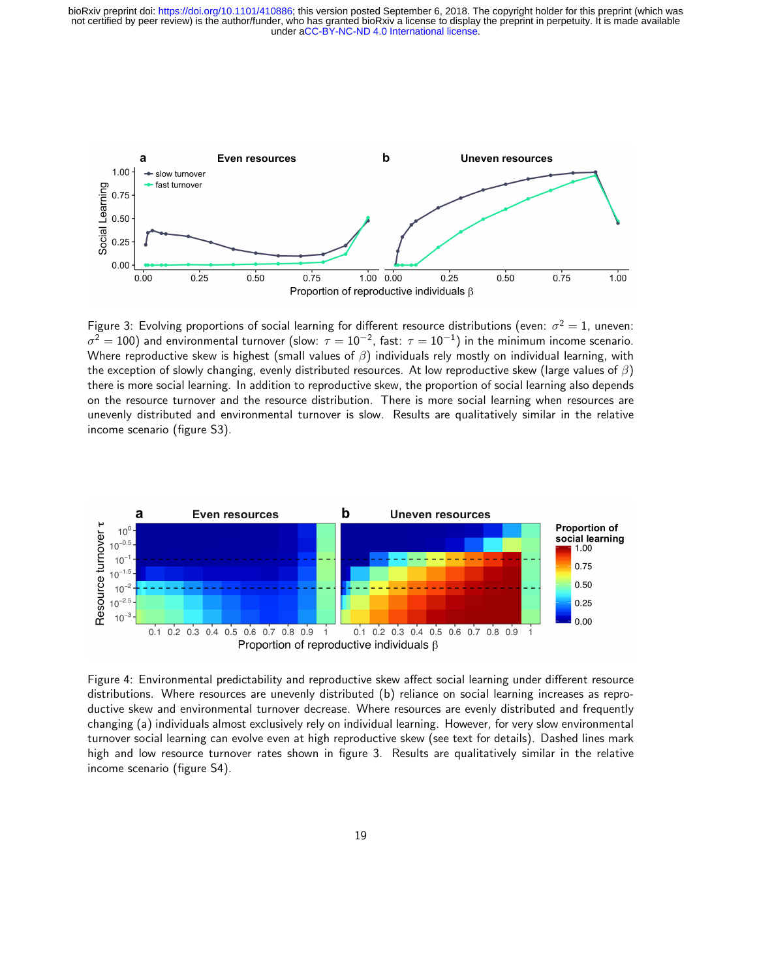

Figure 3: Evolving proportions of social learning for different resource distributions (even:  $\sigma^2 = 1$ , uneven:  $\sigma^2 = 100$ ) and environmental turnover (slow:  $\tau = 10^{-2}$ , fast:  $\tau = 10^{-1}$ ) in the minimum income scenario. Where reproductive skew is highest (small values of  $\beta$ ) individuals rely mostly on individual learning, with the exception of slowly changing, evenly distributed resources. At low reproductive skew (large values of  $\beta$ ) there is more social learning. In addition to reproductive skew, the proportion of social learning also depends on the resource turnover and the resource distribution. There is more social learning when resources are unevenly distributed and environmental turnover is slow. Results are qualitatively similar in the relative income scenario (figure S3).



Figure 4: Environmental predictability and reproductive skew affect social learning under different resource distributions. Where resources are unevenly distributed (b) reliance on social learning increases as reproductive skew and environmental turnover decrease. Where resources are evenly distributed and frequently changing (a) individuals almost exclusively rely on individual learning. However, for very slow environmental turnover social learning can evolve even at high reproductive skew (see text for details). Dashed lines mark high and low resource turnover rates shown in figure 3. Results are qualitatively similar in the relative income scenario (figure S4).